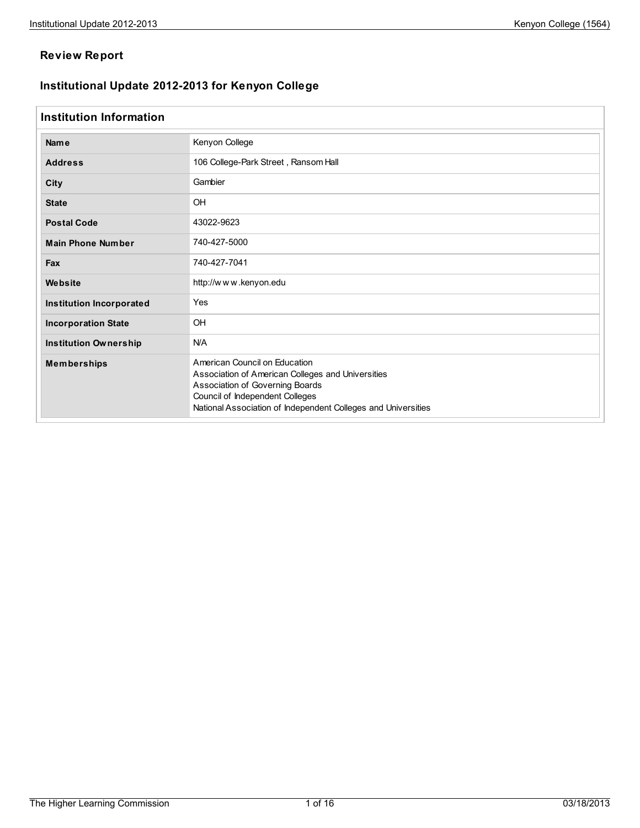## **Review Report**

## **Institutional Update 2012-2013 for Kenyon College**

## **Institution Information**

| <b>Name</b>                     | Kenyon College                                                                                                                                                                                                            |  |  |  |  |  |  |
|---------------------------------|---------------------------------------------------------------------------------------------------------------------------------------------------------------------------------------------------------------------------|--|--|--|--|--|--|
| <b>Address</b>                  | 106 College-Park Street, Ransom Hall                                                                                                                                                                                      |  |  |  |  |  |  |
| City                            | Gambier                                                                                                                                                                                                                   |  |  |  |  |  |  |
| <b>State</b>                    | OH                                                                                                                                                                                                                        |  |  |  |  |  |  |
| <b>Postal Code</b>              | 43022-9623                                                                                                                                                                                                                |  |  |  |  |  |  |
| <b>Main Phone Number</b>        | 740-427-5000                                                                                                                                                                                                              |  |  |  |  |  |  |
| Fax                             | 740-427-7041                                                                                                                                                                                                              |  |  |  |  |  |  |
| Website                         | http://www.kenyon.edu                                                                                                                                                                                                     |  |  |  |  |  |  |
| <b>Institution Incorporated</b> | Yes                                                                                                                                                                                                                       |  |  |  |  |  |  |
| <b>Incorporation State</b>      | OH                                                                                                                                                                                                                        |  |  |  |  |  |  |
| <b>Institution Ownership</b>    | <b>N/A</b>                                                                                                                                                                                                                |  |  |  |  |  |  |
| <b>Memberships</b>              | American Council on Education<br>Association of American Colleges and Universities<br>Association of Governing Boards<br>Council of Independent Colleges<br>National Association of Independent Colleges and Universities |  |  |  |  |  |  |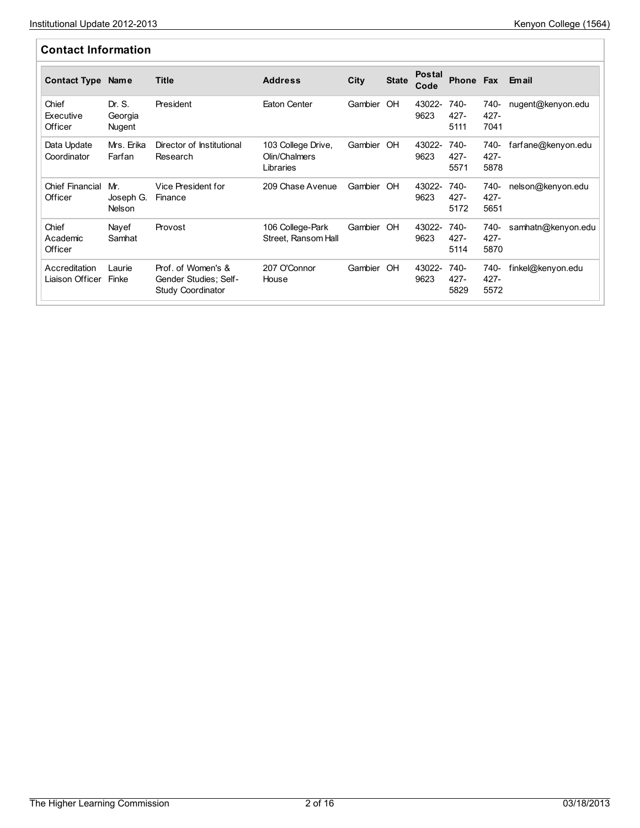| <b>Contact Information</b>        |                                   |                                                                         |                                                  |            |              |                       |                         |                         |                    |
|-----------------------------------|-----------------------------------|-------------------------------------------------------------------------|--------------------------------------------------|------------|--------------|-----------------------|-------------------------|-------------------------|--------------------|
| <b>Contact Type</b>               | <b>Name</b>                       | <b>Title</b>                                                            | <b>Address</b>                                   | City       | <b>State</b> | <b>Postal</b><br>Code | Phone Fax               |                         | <b>Email</b>       |
| Chief<br>Executive<br>Officer     | Dr. S.<br>Georgia<br>Nugent       | President                                                               | Eaton Center                                     | Gambier OH |              | 43022-<br>9623        | 740-<br>427-<br>5111    | 740-<br>$427 -$<br>7041 | nugent@kenyon.edu  |
| Data Update<br>Coordinator        | Mrs. Erika<br>Farfan              | Director of Institutional<br>Research                                   | 103 College Drive,<br>Olin/Chalmers<br>Libraries | Gambier OH |              | 43022-<br>9623        | 740-<br>427-<br>5571    | 740-<br>$427 -$<br>5878 | farfane@kenyon.edu |
| <b>Chief Financial</b><br>Officer | Mr.<br>Joseph G.<br><b>Nelson</b> | Vice President for<br>Finance                                           | 209 Chase Avenue                                 | Gambier OH |              | 43022-<br>9623        | 740-<br>427-<br>5172    | 740-<br>427-<br>5651    | nelson@kenyon.edu  |
| Chief<br>Academic<br>Officer      | Nayef<br>Samhat                   | Provost                                                                 | 106 College-Park<br>Street, Ransom Hall          | Gambier OH |              | 43022-<br>9623        | 740-<br>$427 -$<br>5114 | 740-<br>$427 -$<br>5870 | samhatn@kenyon.edu |
| Accreditation<br>Liaison Officer  | Laurie<br>Finke                   | Prof. of Women's &<br>Gender Studies; Self-<br><b>Study Coordinator</b> | 207 O'Connor<br>House                            | Gambier OH |              | 43022-<br>9623        | 740-<br>427-<br>5829    | 740-<br>$427 -$<br>5572 | finkel@kenyon.edu  |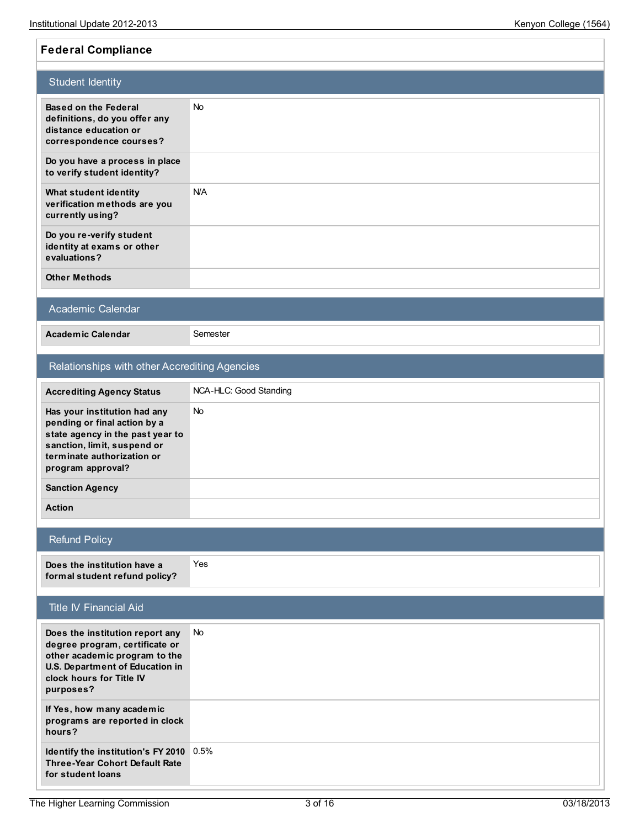**Federal Compliance**

## Student Identity **Based on the Federal definitions, do you offer any distance education or correspondence courses?** No **Do you have a process in place to verify student identity? What student identity verification methods are you currently using?** N/A **Do you re-verify student identity at exams or other evaluations? Other Methods** Academic Calendar **Academic Calendar** Semester Relationships with other Accrediting Agencies **Accrediting Agency Status** NCA-HLC: Good Standing **Has your institution had any pending or final action by a state agency in the past year to sanction, limit, suspend or terminate authorization or program approval?** No **Sanction Agency Action** Refund Policy **Does the institution have a formal student refund policy?** Yes Title IV Financial Aid **Does the institution report any degree program, certificate or other academic program to the U.S. Department of Education in clock hours for Title IV purposes?** No **If Yes, how many academic programs are reported in clock hours?**

**Identify the institution's FY 2010** 0.5% **Three-Year Cohort Default Rate for student loans**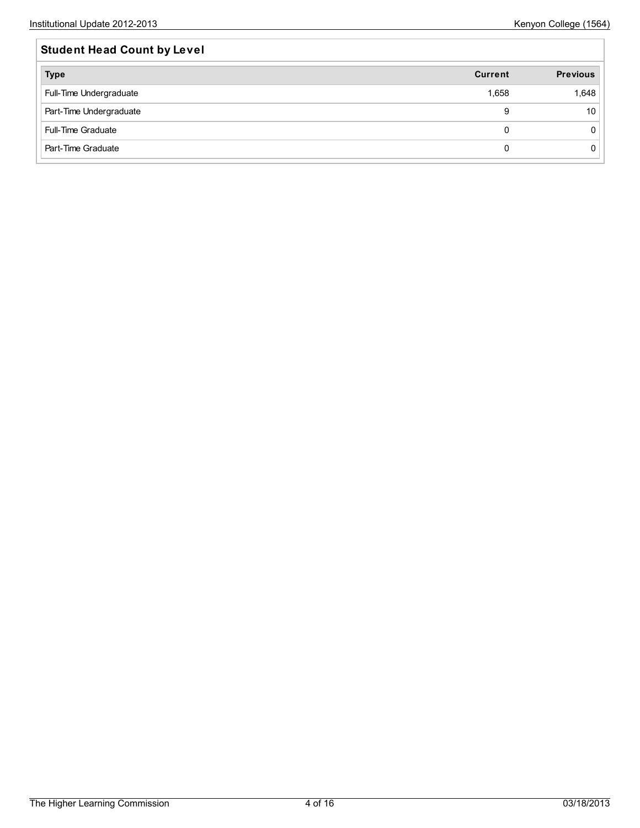| <b>Student Head Count by Level</b> |                |                 |  |  |  |  |  |
|------------------------------------|----------------|-----------------|--|--|--|--|--|
| <b>Type</b>                        | <b>Current</b> | <b>Previous</b> |  |  |  |  |  |
| Full-Time Undergraduate            | 1,658          | 1,648           |  |  |  |  |  |
| Part-Time Undergraduate            | 9              | 10              |  |  |  |  |  |
| <b>Full-Time Graduate</b>          | <sup>0</sup>   |                 |  |  |  |  |  |
| Part-Time Graduate                 |                |                 |  |  |  |  |  |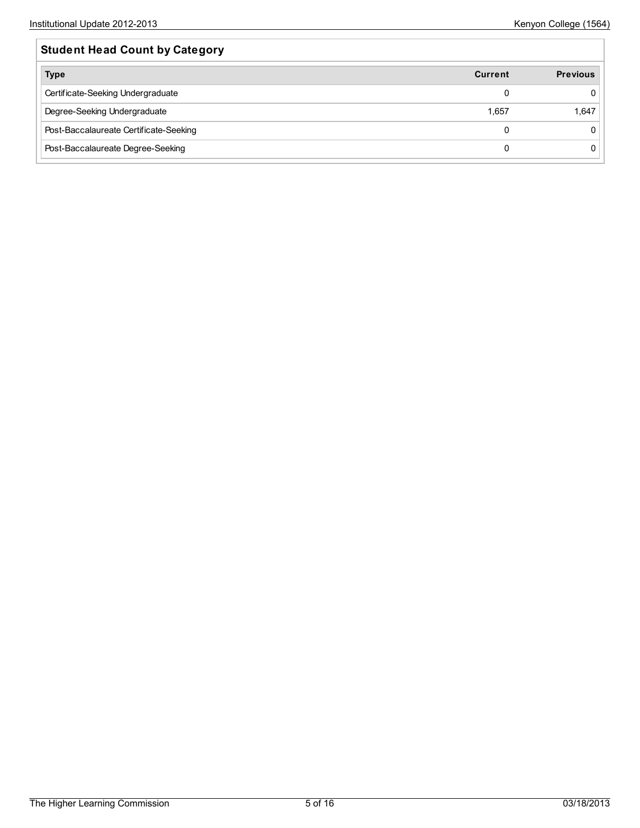| <b>Student Head Count by Category</b>  |                |                 |  |  |  |  |
|----------------------------------------|----------------|-----------------|--|--|--|--|
| <b>Type</b>                            | <b>Current</b> | <b>Previous</b> |  |  |  |  |
| Certificate-Seeking Undergraduate      |                |                 |  |  |  |  |
| Degree-Seeking Undergraduate           | 1.657          | 1,647           |  |  |  |  |
| Post-Baccalaureate Certificate-Seeking |                |                 |  |  |  |  |
| Post-Baccalaureate Degree-Seeking      |                |                 |  |  |  |  |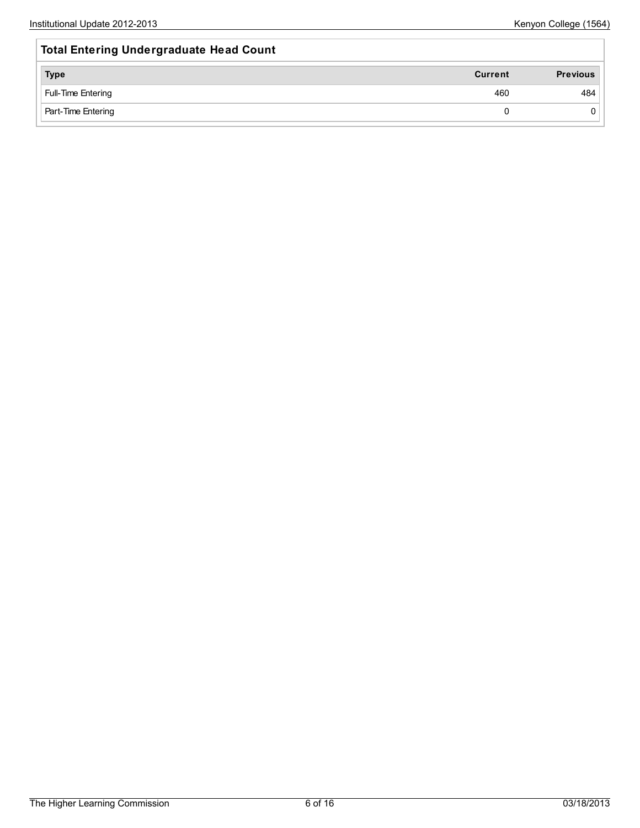| <b>Total Entering Undergraduate Head Count</b> |                |                 |
|------------------------------------------------|----------------|-----------------|
| <b>Type</b>                                    | <b>Current</b> | <b>Previous</b> |
| Full-Time Entering                             | 460            | 484             |
| Part-Time Entering                             | 0              |                 |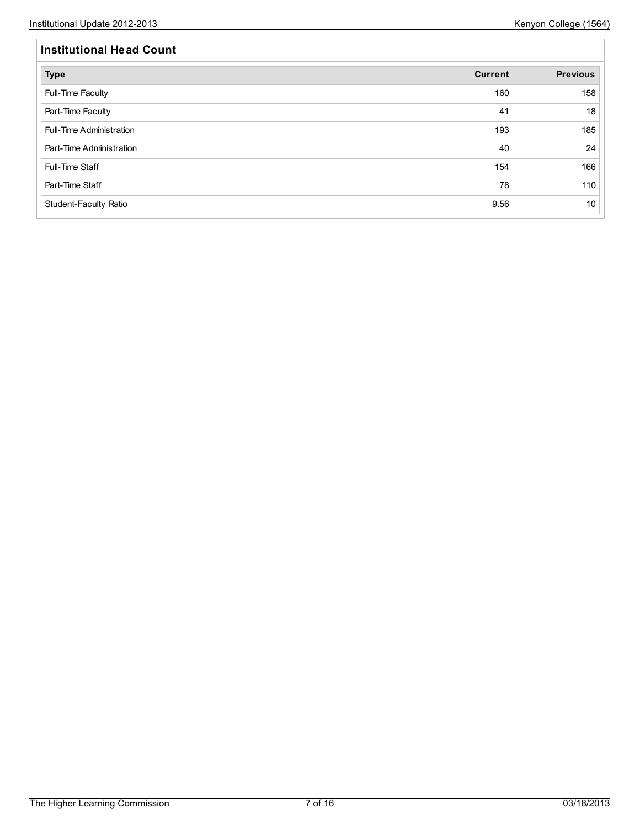| <b>Institutional Head Count</b> |                |                 |  |  |  |  |  |
|---------------------------------|----------------|-----------------|--|--|--|--|--|
| <b>Type</b>                     | <b>Current</b> | <b>Previous</b> |  |  |  |  |  |
| Full-Time Faculty               | 160            | 158             |  |  |  |  |  |
| Part-Time Faculty               | 41             | 18              |  |  |  |  |  |
| Full-Time Administration        | 193            | 185             |  |  |  |  |  |
| Part-Time Administration        | 40             | 24              |  |  |  |  |  |
| Full-Time Staff                 | 154            | 166             |  |  |  |  |  |
| Part-Time Staff                 | 78             | 110             |  |  |  |  |  |
| Student-Faculty Ratio           | 9.56           | 10              |  |  |  |  |  |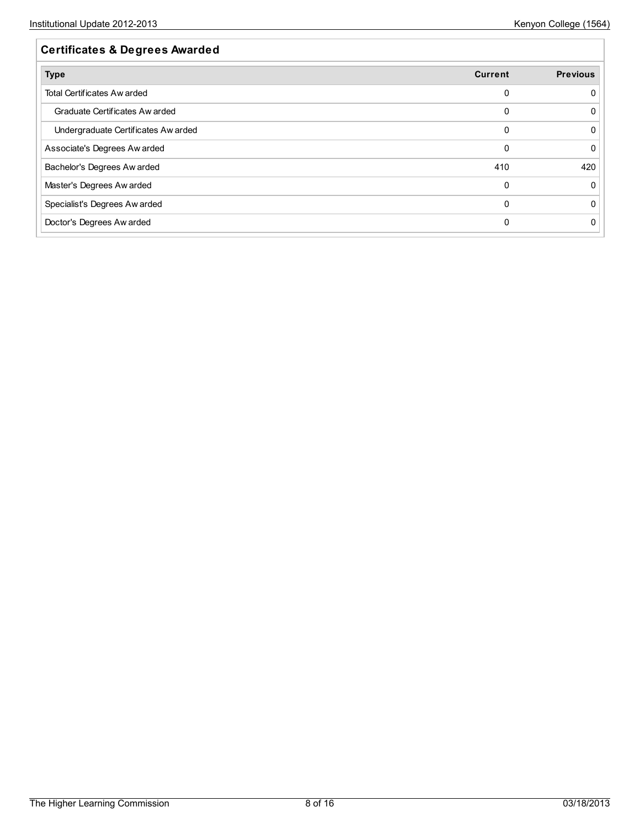| Current | <b>Previous</b> |
|---------|-----------------|
|         |                 |
| 0       |                 |
| 0       |                 |
| 0       |                 |
| 410     | 420             |
| 0       |                 |
|         |                 |
|         |                 |
|         |                 |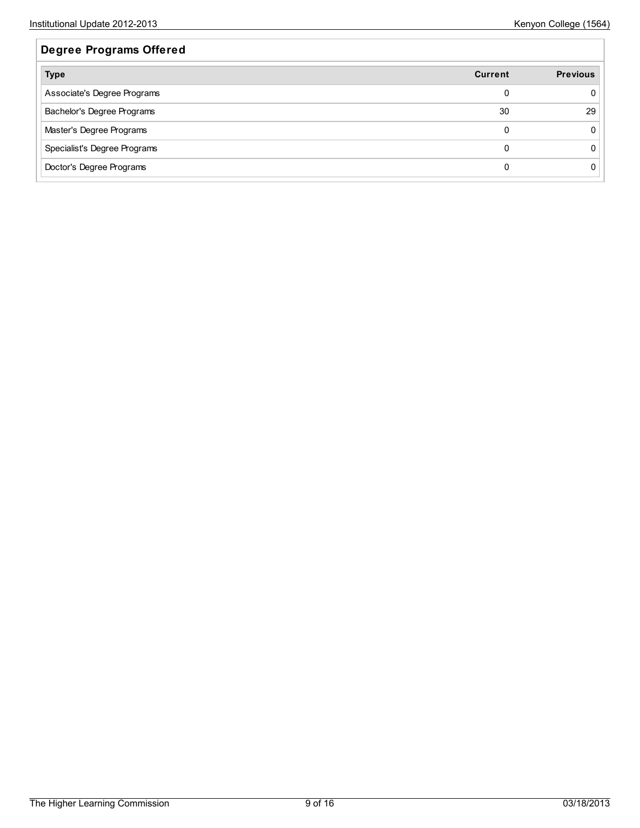| <b>Degree Programs Offered</b> |                |                 |
|--------------------------------|----------------|-----------------|
| <b>Type</b>                    | <b>Current</b> | <b>Previous</b> |
| Associate's Degree Programs    |                |                 |
| Bachelor's Degree Programs     | 30             | 29              |
| Master's Degree Programs       | $\Omega$       |                 |
| Specialist's Degree Programs   | $\Omega$       |                 |
| Doctor's Degree Programs       |                |                 |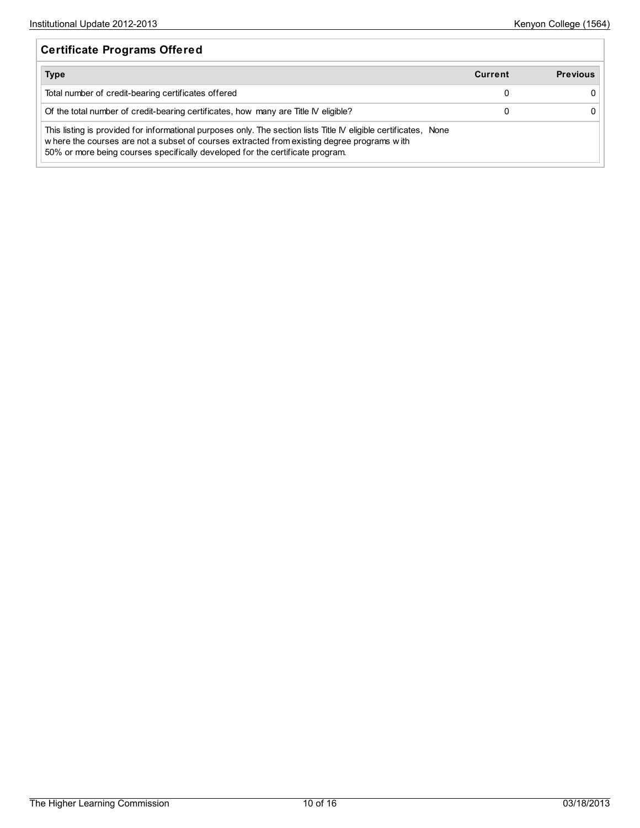| <b>Certificate Programs Offered</b>                                                                                                                                                                                                                                                             |                |                 |
|-------------------------------------------------------------------------------------------------------------------------------------------------------------------------------------------------------------------------------------------------------------------------------------------------|----------------|-----------------|
| <b>Type</b>                                                                                                                                                                                                                                                                                     | <b>Current</b> | <b>Previous</b> |
| Total number of credit-bearing certificates offered                                                                                                                                                                                                                                             | 0              |                 |
| Of the total number of credit-bearing certificates, how many are Title IV eligible?                                                                                                                                                                                                             | 0              |                 |
| This listing is provided for informational purposes only. The section lists Title IV eligible certificates, None<br>where the courses are not a subset of courses extracted from existing degree programs with<br>50% or more being courses specifically developed for the certificate program. |                |                 |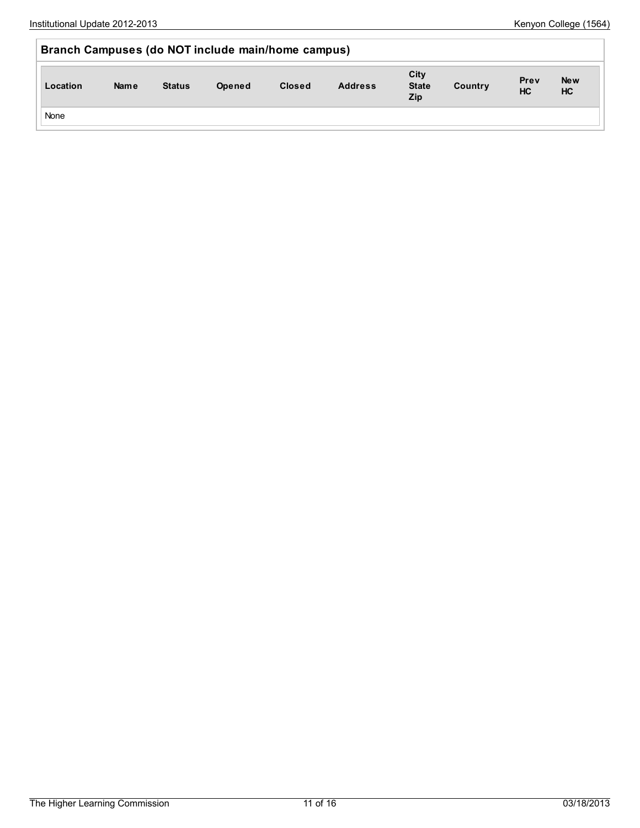| Branch Campuses (do NOT include main/home campus) |      |               |        |               |                |                                    |         |                   |                  |
|---------------------------------------------------|------|---------------|--------|---------------|----------------|------------------------------------|---------|-------------------|------------------|
| Location                                          | Name | <b>Status</b> | Opened | <b>Closed</b> | <b>Address</b> | City<br><b>State</b><br><b>Zip</b> | Country | Prev<br><b>HC</b> | <b>New</b><br>HC |
| None                                              |      |               |        |               |                |                                    |         |                   |                  |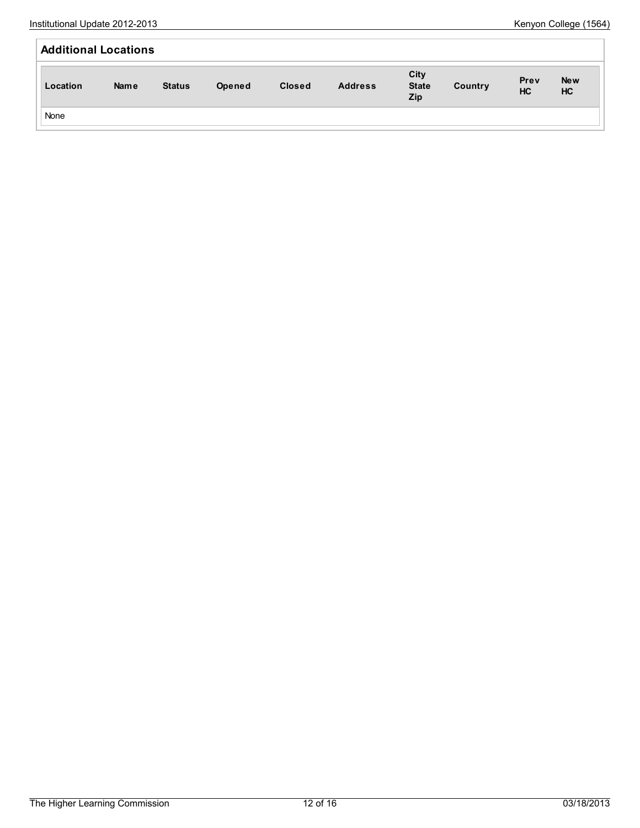| <b>Additional Locations</b> |             |               |        |               |                |                                    |         |                   |                  |
|-----------------------------|-------------|---------------|--------|---------------|----------------|------------------------------------|---------|-------------------|------------------|
| Location                    | <b>Name</b> | <b>Status</b> | Opened | <b>Closed</b> | <b>Address</b> | City<br><b>State</b><br><b>Zip</b> | Country | Prev<br><b>HC</b> | <b>New</b><br>HC |
| None                        |             |               |        |               |                |                                    |         |                   |                  |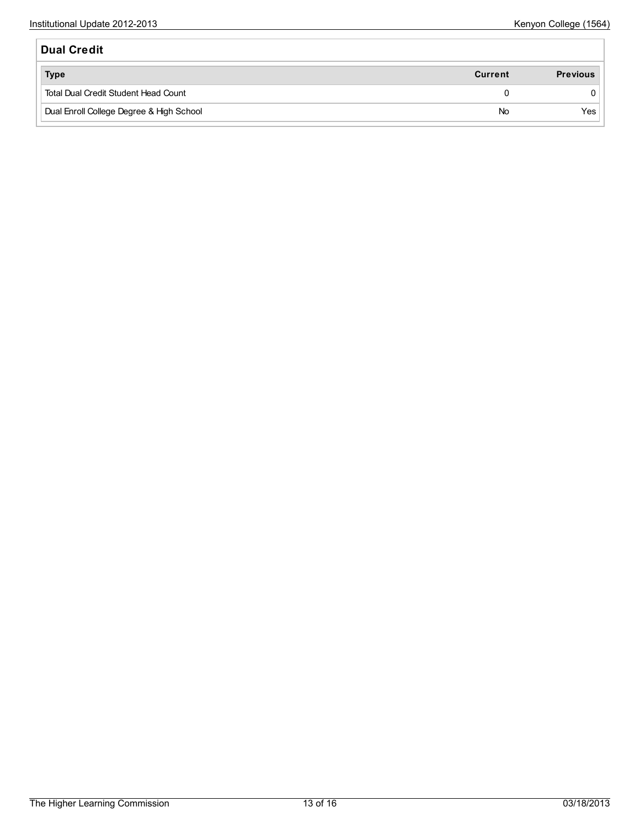| <b>Dual Credit</b>                       |         |                 |
|------------------------------------------|---------|-----------------|
| <b>Type</b>                              | Current | <b>Previous</b> |
| Total Dual Credit Student Head Count     | 0       |                 |
| Dual Enroll College Degree & High School | No      | Yes             |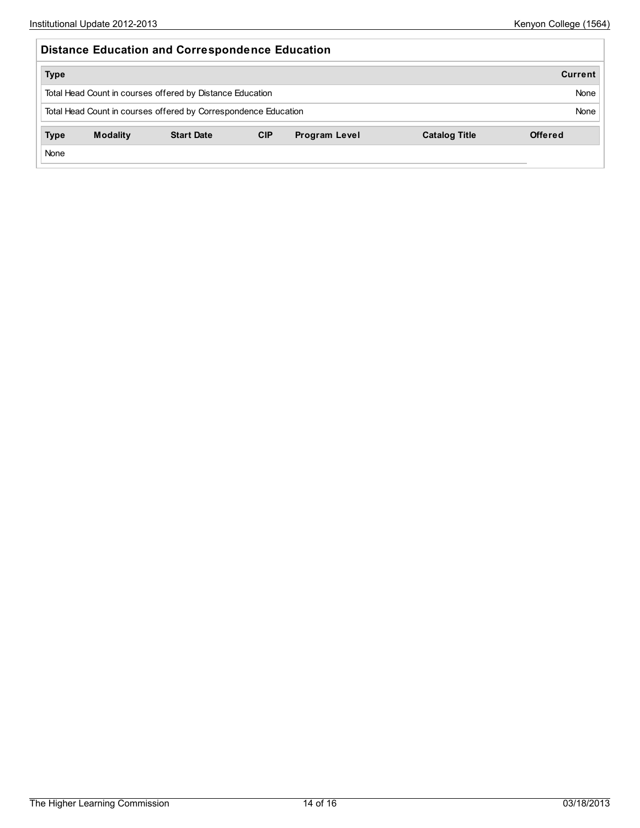| <b>Distance Education and Correspondence Education</b>          |                 |                                                           |            |                      |                      |                |  |  |  |
|-----------------------------------------------------------------|-----------------|-----------------------------------------------------------|------------|----------------------|----------------------|----------------|--|--|--|
| <b>Type</b>                                                     |                 |                                                           |            |                      |                      | <b>Current</b> |  |  |  |
|                                                                 |                 | Total Head Count in courses offered by Distance Education |            |                      |                      | None           |  |  |  |
| Total Head Count in courses offered by Correspondence Education | None            |                                                           |            |                      |                      |                |  |  |  |
| <b>Type</b>                                                     | <b>Modality</b> | <b>Start Date</b>                                         | <b>CIP</b> | <b>Program Level</b> | <b>Catalog Title</b> | <b>Offered</b> |  |  |  |
| None                                                            |                 |                                                           |            |                      |                      |                |  |  |  |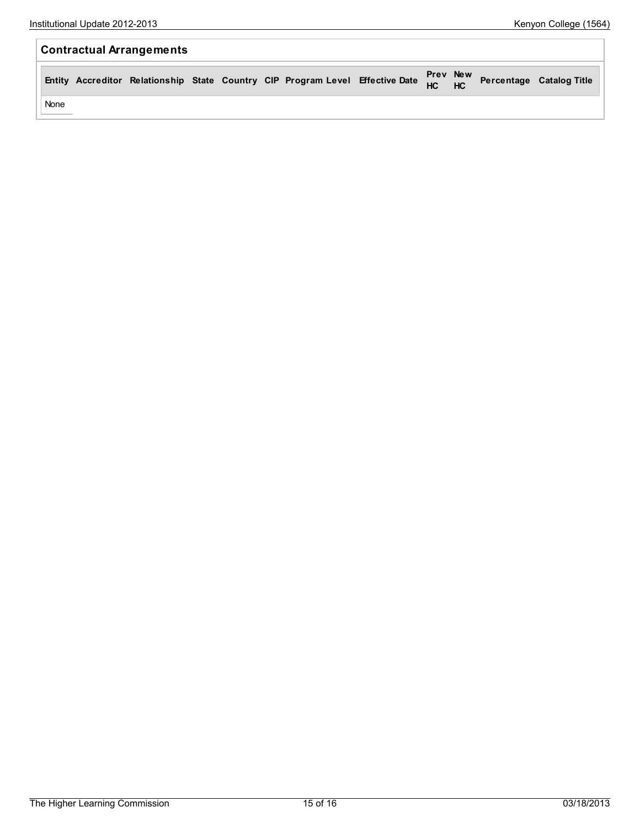| <b>Contractual Arrangements</b> |      |  |  |  |  |  |                                                                                                                 |  |  |  |  |
|---------------------------------|------|--|--|--|--|--|-----------------------------------------------------------------------------------------------------------------|--|--|--|--|
|                                 |      |  |  |  |  |  | Entity Accreditor Relationship State Country CIP Program Level Effective Date Prev New Percentage Catalog Title |  |  |  |  |
|                                 | None |  |  |  |  |  |                                                                                                                 |  |  |  |  |